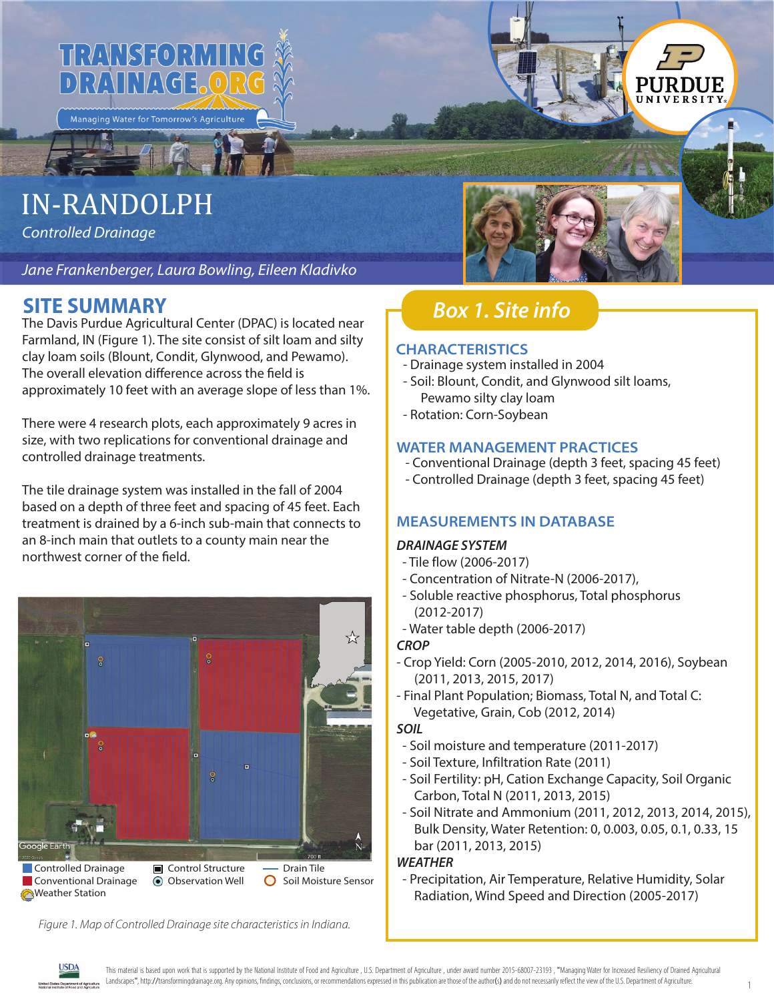

# **IN-RANDOLPH**

**Controlled Drainage** 

Jane Frankenberger, Laura Bowling, Eileen Kladivko

## **SITE SUMMARY**

The Davis Purdue Agricultural Center (DPAC) is located near Farmland, IN (Figure 1). The site consist of silt loam and silty clay loam soils (Blount, Condit, Glynwood, and Pewamo). The overall elevation difference across the field is approximately 10 feet with an average slope of less than 1%.

There were 4 research plots, each approximately 9 acres in size, with two replications for conventional drainage and controlled drainage treatments.

The tile drainage system was installed in the fall of 2004 based on a depth of three feet and spacing of 45 feet. Each treatment is drained by a 6-inch sub-main that connects to an 8-inch main that outlets to a county main near the northwest corner of the field.



Figure 1. Map of Controlled Drainage site characteristics in Indiana.



## **Box 1. Site info**

### **CHARACTERISTICS**

- Drainage system installed in 2004
- Soil: Blount, Condit, and Glynwood silt loams, Pewamo silty clay loam
- Rotation: Corn-Soybean

### **WATER MANAGEMENT PRACTICES**

- Conventional Drainage (depth 3 feet, spacing 45 feet)
- Controlled Drainage (depth 3 feet, spacing 45 feet)

### **MEASUREMENTS IN DATABASE**

### **DRAINAGE SYSTEM**

- Tile flow (2006-2017)
- Concentration of Nitrate-N (2006-2017),
- Soluble reactive phosphorus, Total phosphorus  $(2012 - 2017)$
- Water table depth (2006-2017)

### **CROP**

- Crop Yield: Corn (2005-2010, 2012, 2014, 2016), Soybean  $(2011, 2013, 2015, 2017)$
- Final Plant Population; Biomass, Total N, and Total C: Vegetative, Grain, Cob (2012, 2014)

### **SOIL**

- Soil moisture and temperature (2011-2017)
- Soil Texture, Infiltration Rate (2011)
- Soil Fertility: pH, Cation Exchange Capacity, Soil Organic Carbon, Total N (2011, 2013, 2015)
- Soil Nitrate and Ammonium (2011, 2012, 2013, 2014, 2015), Bulk Density, Water Retention: 0, 0.003, 0.05, 0.1, 0.33, 15 bar (2011, 2013, 2015)

### **WEATHER**

- Precipitation, Air Temperature, Relative Humidity, Solar Radiation, Wind Speed and Direction (2005-2017)